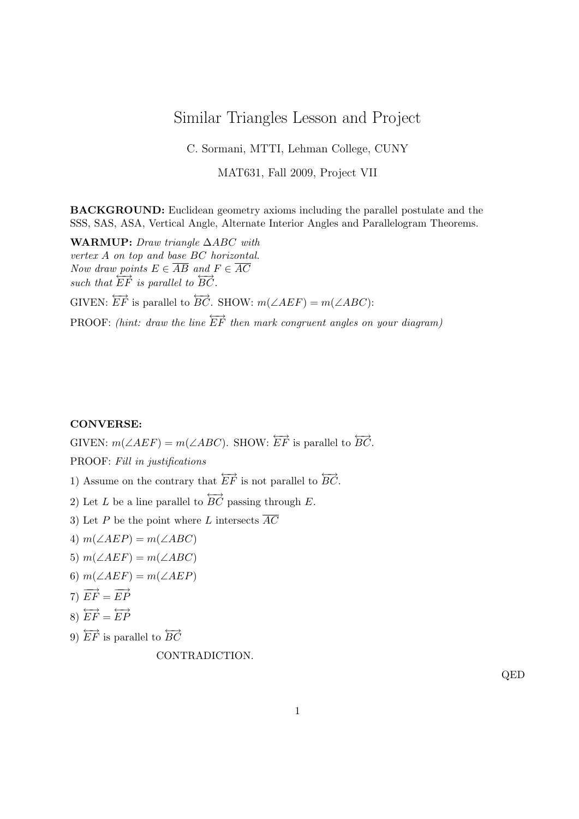## Similar Triangles Lesson and Project

C. Sormani, MTTI, Lehman College, CUNY

MAT631, Fall 2009, Project VII

BACKGROUND: Euclidean geometry axioms including the parallel postulate and the SSS, SAS, ASA, Vertical Angle, Alternate Interior Angles and Parallelogram Theorems.

WARMUP: Draw triangle ∆ABC with vertex A on top and base BC horizontal. Now draw points  $E \in \overline{AB}$  and  $F \in \overline{AC}$ such that  $\overrightarrow{EF}$  is parallel to  $\overrightarrow{BC}$ . GIVEN:  $\overleftrightarrow{EF}$  is parallel to  $\overleftrightarrow{BC}$ . SHOW:  $m(\angle AEF) = m(\angle ABC)$ : PROOF: (hint: draw the line  $\overleftrightarrow{EF}$  then mark congruent angles on your diagram)

## CONVERSE:

GIVEN:  $m(\angle AEF) = m(\angle ABC)$ . SHOW:  $EF$  is parallel to  $\overleftrightarrow{BC}$ .

PROOF: Fill in justifications

1) Assume on the contrary that  $E\vec{F}$  is not parallel to  $\overleftrightarrow{BC}$ .

2) Let L be a line parallel to  $\overleftrightarrow{BC}$  passing through E.

- 3) Let P be the point where L intersects  $\overline{AC}$
- 4)  $m(\angle AEP) = m(\angle ABC)$
- 5)  $m(\angle AEF) = m(\angle ABC)$
- 6)  $m(\angle AEF) = m(\angle AEP)$

7) 
$$
\overrightarrow{EF} = \overrightarrow{EP}
$$

$$
8) \ \overleftrightarrow{EF} = \overleftrightarrow{EP}
$$

9)  $\overleftrightarrow{EF}$  is parallel to  $\overleftrightarrow{BC}$ 

CONTRADICTION.

QED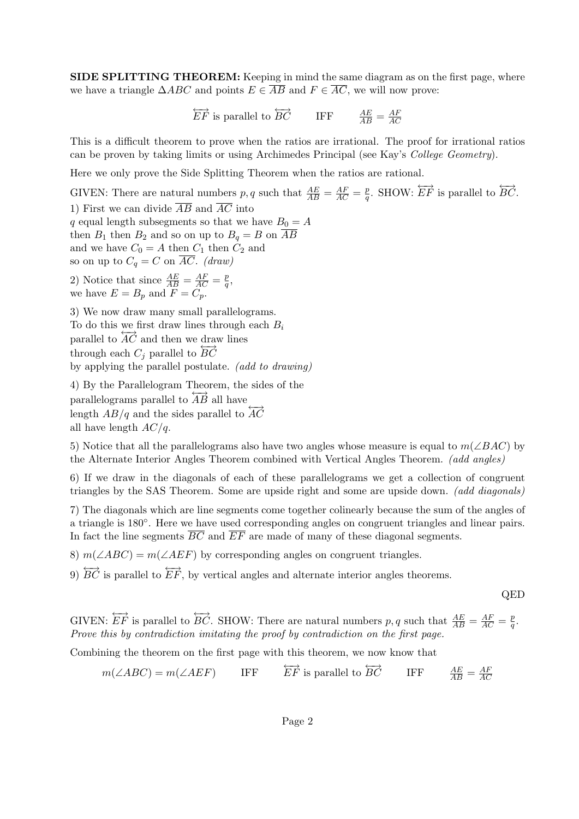SIDE SPLITTING THEOREM: Keeping in mind the same diagram as on the first page, where we have a triangle  $\triangle ABC$  and points  $E \in \overline{AB}$  and  $F \in \overline{AC}$ , we will now prove:

> $\overleftrightarrow{EF}$  is parallel to  $\overleftrightarrow{BC}$  IFF  $\frac{AE}{AB} = \frac{AF}{AC}$ AC

This is a difficult theorem to prove when the ratios are irrational. The proof for irrational ratios can be proven by taking limits or using Archimedes Principal (see Kay's College Geometry).

Here we only prove the Side Splitting Theorem when the ratios are rational.

GIVEN: There are natural numbers p, q such that  $\frac{AE}{AB} = \frac{AF}{AC} = \frac{p}{q}$  $q^2$ . SHOW:  $EF$  is parallel to  $\overleftrightarrow{BC}$ . 1) First we can divide  $\overline{AB}$  and  $\overline{AC}$  into q equal length subsegments so that we have  $B_0 = A$ then  $B_1$  then  $B_2$  and so on up to  $B_q = B$  on  $\overline{AB}$ and we have  $C_0 = A$  then  $C_1$  then  $C_2$  and so on up to  $C_q = C$  on  $\overline{AC}$ . (draw) 2) Notice that since  $\frac{AE}{AB} = \frac{AF}{AC} = \frac{p}{q}$  $\frac{p}{q},$ we have  $E = B_p$  and  $F = C_p$ . 3) We now draw many small parallelograms. To do this we first draw lines through each  $B_i$ parallel to  $\overrightarrow{AC}$  and then we draw lines through each  $C_i$  parallel to  $\overrightarrow{BC}$ by applying the parallel postulate. (add to drawing)

4) By the Parallelogram Theorem, the sides of the parallelograms parallel to  $\overrightarrow{AB}$  all have length  $AB/q$  and the sides parallel to  $\overrightarrow{AC}$ all have length  $AC/q$ .

5) Notice that all the parallelograms also have two angles whose measure is equal to  $m(\angle BAC)$  by the Alternate Interior Angles Theorem combined with Vertical Angles Theorem. (add angles)

6) If we draw in the diagonals of each of these parallelograms we get a collection of congruent triangles by the SAS Theorem. Some are upside right and some are upside down. (add diagonals)

7) The diagonals which are line segments come together colinearly because the sum of the angles of a triangle is 180°. Here we have used corresponding angles on congruent triangles and linear pairs. In fact the line segments  $\overline{BC}$  and  $\overline{EF}$  are made of many of these diagonal segments.

8)  $m(\angle ABC) = m(\angle AEF)$  by corresponding angles on congruent triangles.

9)  $\overleftrightarrow{BC}$  is parallel to  $\overleftrightarrow{EF}$ , by vertical angles and alternate interior angles theorems.

QED

GIVEN:  $EF$  is parallel to  $\overleftrightarrow{BC}$ . SHOW: There are natural numbers p, q such that  $\frac{AE}{AB} = \frac{AF}{AC} = \frac{p}{q}$  $\frac{p}{q}.$ Prove this by contradiction imitating the proof by contradiction on the first page.

Combining the theorem on the first page with this theorem, we now know that

 $m(\angle ABC) = m(\angle AEF)$  IFF  $\overleftrightarrow{EF}$  is parallel to  $\overleftrightarrow{BC}$  $\frac{AE}{AB}=\frac{AF}{AC}$ AC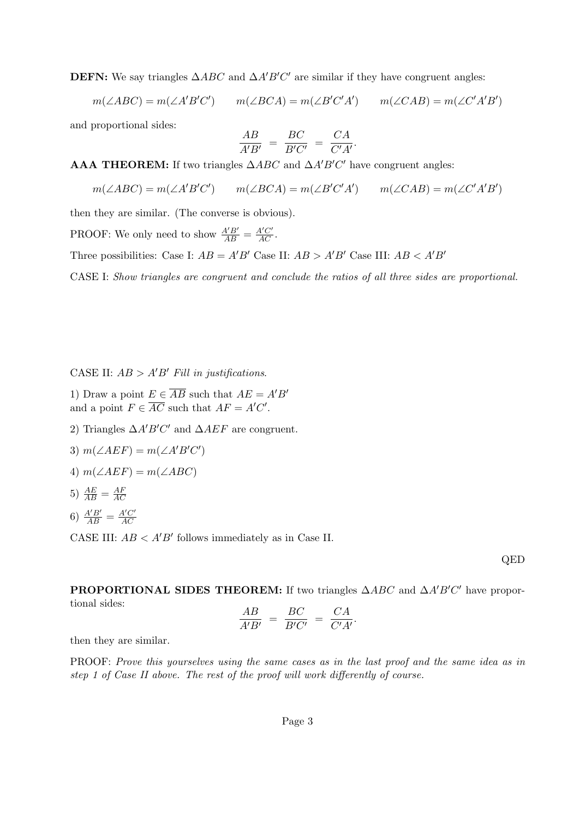**DEFN:** We say triangles  $\triangle ABC$  and  $\triangle A'B'C'$  are similar if they have congruent angles:

 $m(\angle ABC) = m(\angle A'B'C')$   $m(\angle BCA) = m(\angle B'C'A')$   $m(\angle CAB) = m(\angle C'A'B')$ 

and proportional sides:

$$
\frac{AB}{A'B'} = \frac{BC}{B'C'} = \frac{CA}{C'A'}.
$$

AAA THEOREM: If two triangles  $\triangle ABC$  and  $\triangle A'B'C'$  have congruent angles:

 $m(\angle ABC) = m(\angle A'B'C')$   $m(\angle BCA) = m(\angle B'C'A')$   $m(\angle CAB) = m(\angle C'A'B')$ 

then they are similar. (The converse is obvious).

PROOF: We only need to show  $\frac{A'B'}{AB} = \frac{A'C'}{AC}$ .

Three possibilities: Case I:  $AB = A'B'$  Case II:  $AB > A'B'$  Case III:  $AB < A'B'$ 

CASE I: Show triangles are congruent and conclude the ratios of all three sides are proportional.

CASE II:  $AB > A'B'$  Fill in justifications.

- 1) Draw a point  $E \in \overline{AB}$  such that  $AE = A'B'$ and a point  $F \in \overline{AC}$  such that  $AF = A'C'$ .
- 2) Triangles  $\Delta A'B'C'$  and  $\Delta AEF$  are congruent.
- 3)  $m(\angle AEF) = m(\angle A'B'C')$
- 4)  $m(\angle AEF) = m(\angle ABC)$
- 5)  $\frac{AE}{AB} = \frac{AF}{AC}$ AC
- 6)  $\frac{A'B'}{AB} = \frac{A'C'}{AC}$ AC

CASE III:  $AB < A'B'$  follows immediately as in Case II.

QED

**PROPORTIONAL SIDES THEOREM:** If two triangles  $\triangle ABC$  and  $\triangle A'B'C'$  have proportional sides: AB  $\sim$ 

$$
\frac{AB}{A'B'} = \frac{BC}{B'C'} = \frac{CA}{C'A'}
$$

.

then they are similar.

PROOF: Prove this yourselves using the same cases as in the last proof and the same idea as in step 1 of Case II above. The rest of the proof will work differently of course.